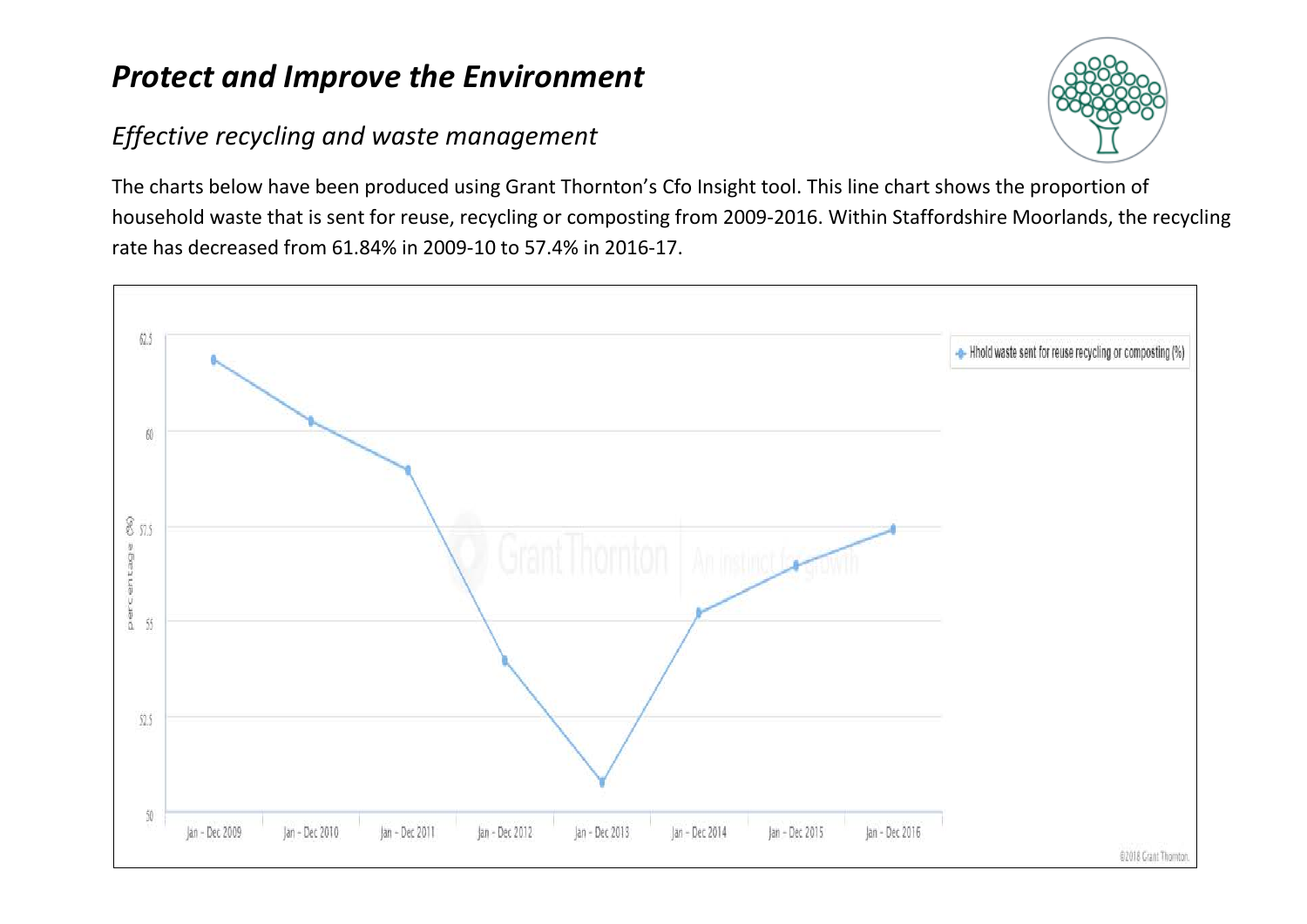## *Protect and Improve the Environment*

## *Effective recycling and waste management*



The charts below have been produced using Grant Thornton's Cfo Insight tool. This line chart shows the proportion of household waste that is sent for reuse, recycling or composting from 2009-2016. Within Staffordshire Moorlands, the recycling rate has decreased from 61.84% in 2009-10 to 57.4% in 2016-17.

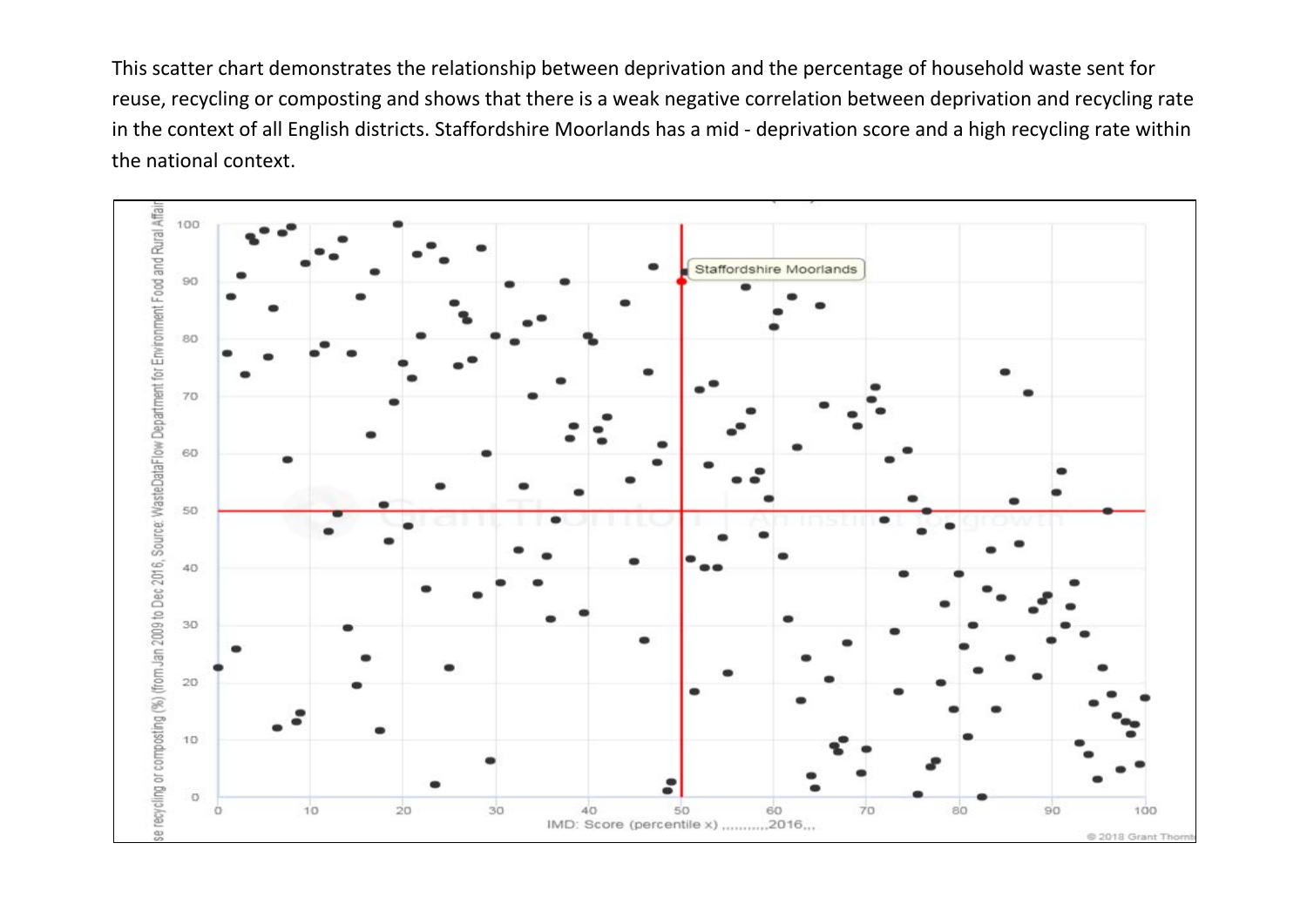This scatter chart demonstrates the relationship between deprivation and the percentage of household waste sent for reuse, recycling or composting and shows that there is a weak negative correlation between deprivation and recycling rate in the context of all English districts. Staffordshire Moorlands has a mid - deprivation score and a high recycling rate within the national context.

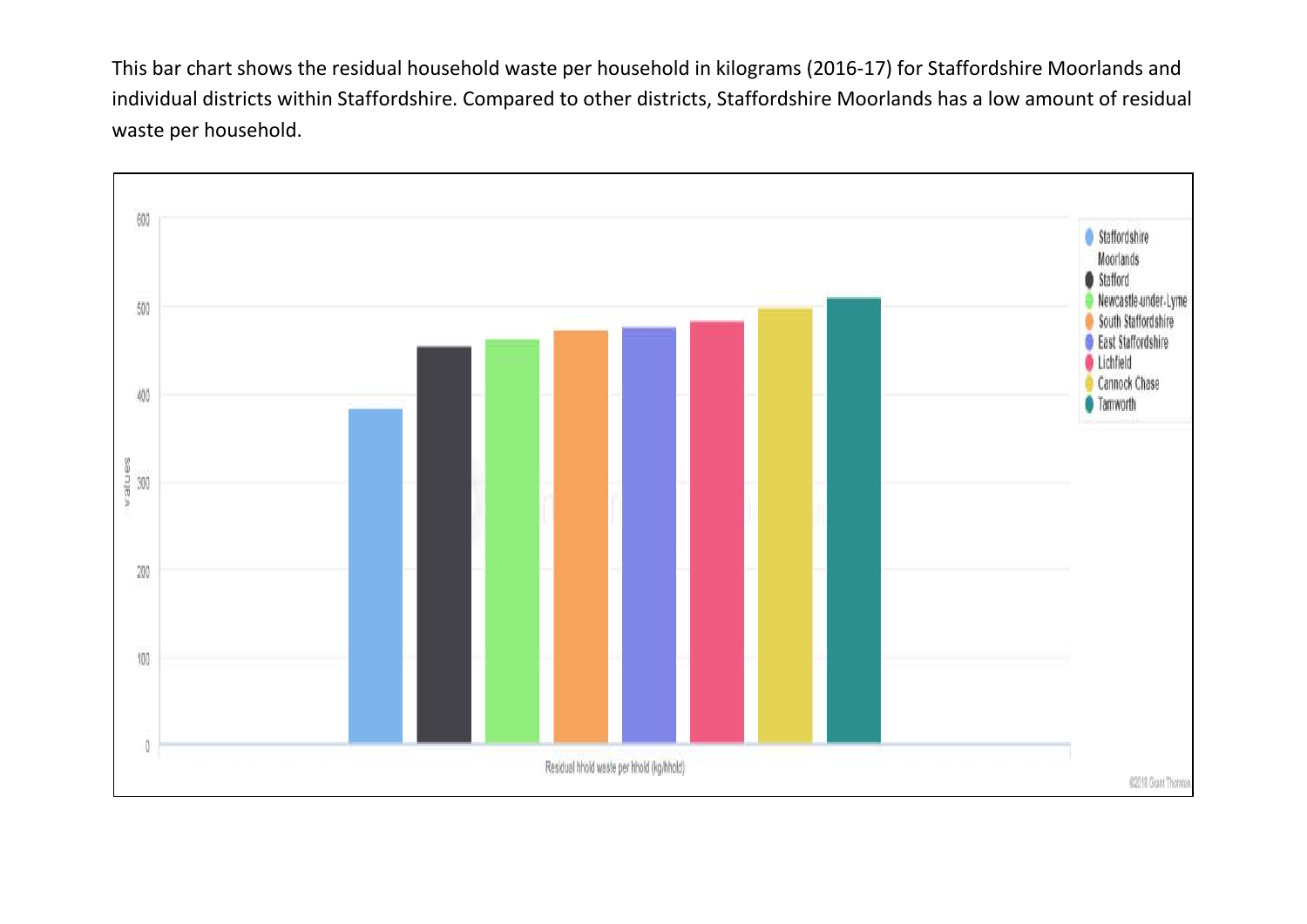This bar chart shows the residual household waste per household in kilograms (2016-17) for Staffordshire Moorlands and individual districts within Staffordshire. Compared to other districts, Staffordshire Moorlands has a low amount of residual waste per household.

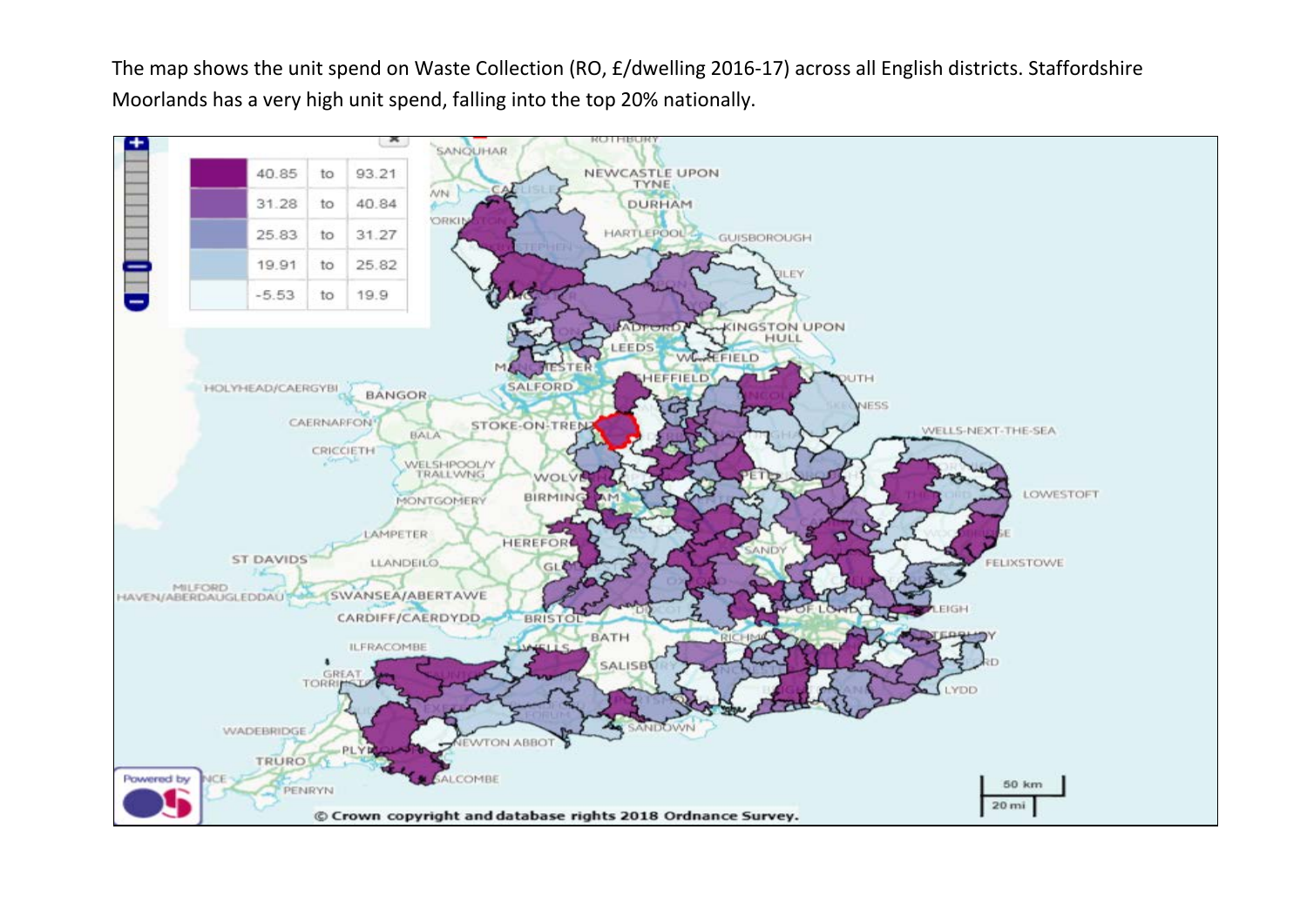The map shows the unit spend on Waste Collection (RO, £/dwelling 2016-17) across all English districts. Staffordshire Moorlands has a very high unit spend, falling into the top 20% nationally.

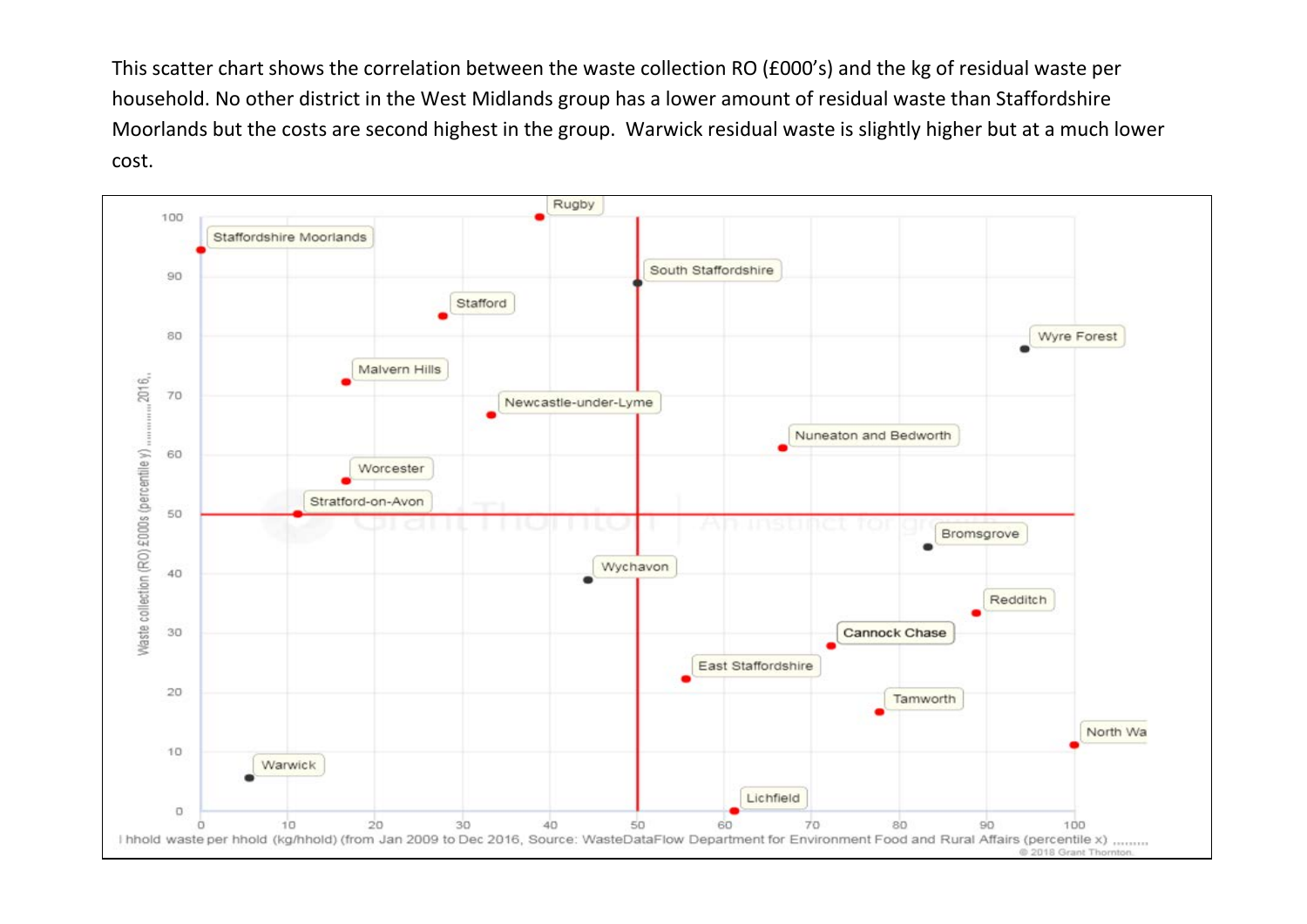This scatter chart shows the correlation between the waste collection RO (£000's) and the kg of residual waste per household. No other district in the West Midlands group has a lower amount of residual waste than Staffordshire Moorlands but the costs are second highest in the group. Warwick residual waste is slightly higher but at a much lower cost.

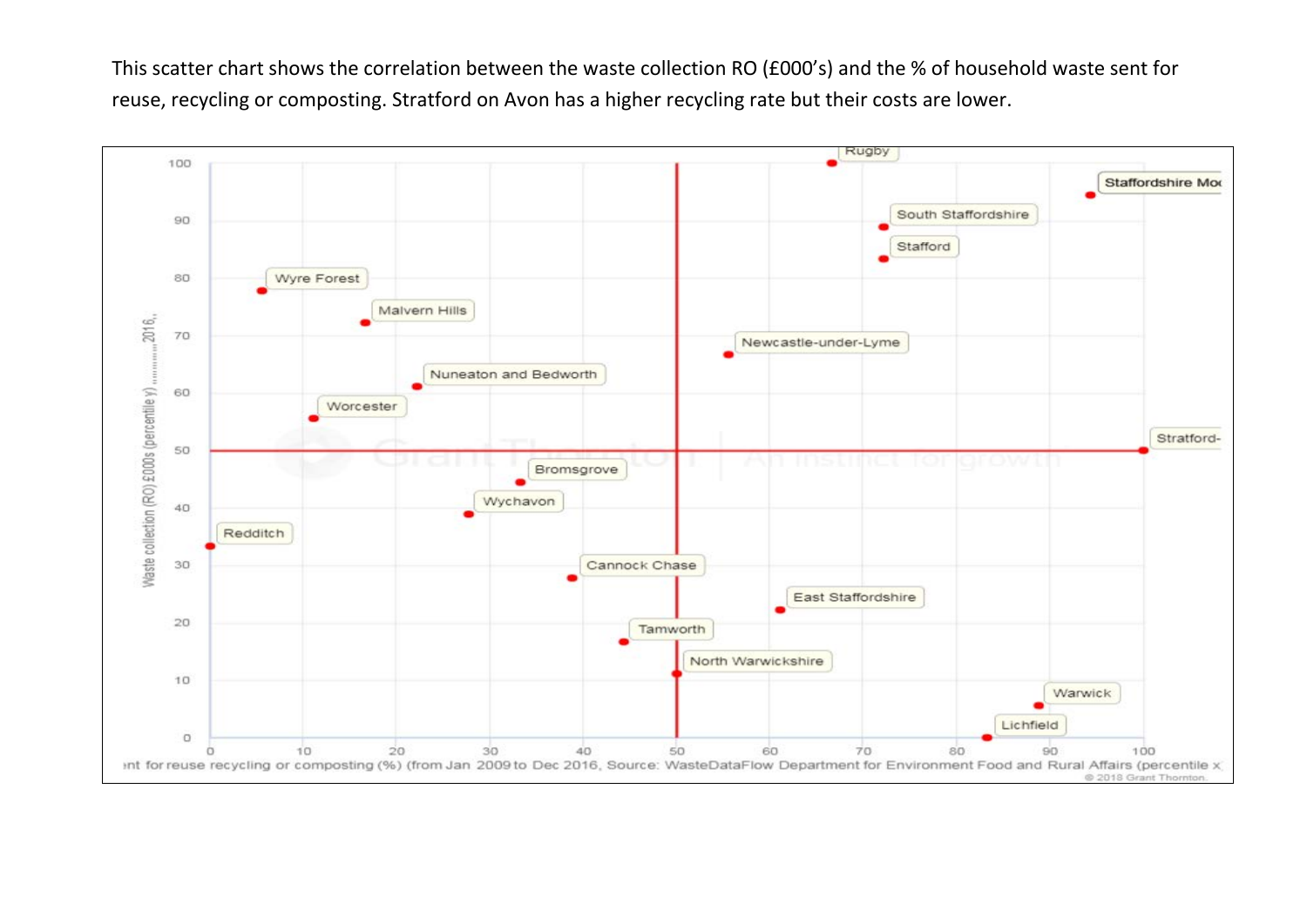This scatter chart shows the correlation between the waste collection RO (£000's) and the % of household waste sent for reuse, recycling or composting. Stratford on Avon has a higher recycling rate but their costs are lower.

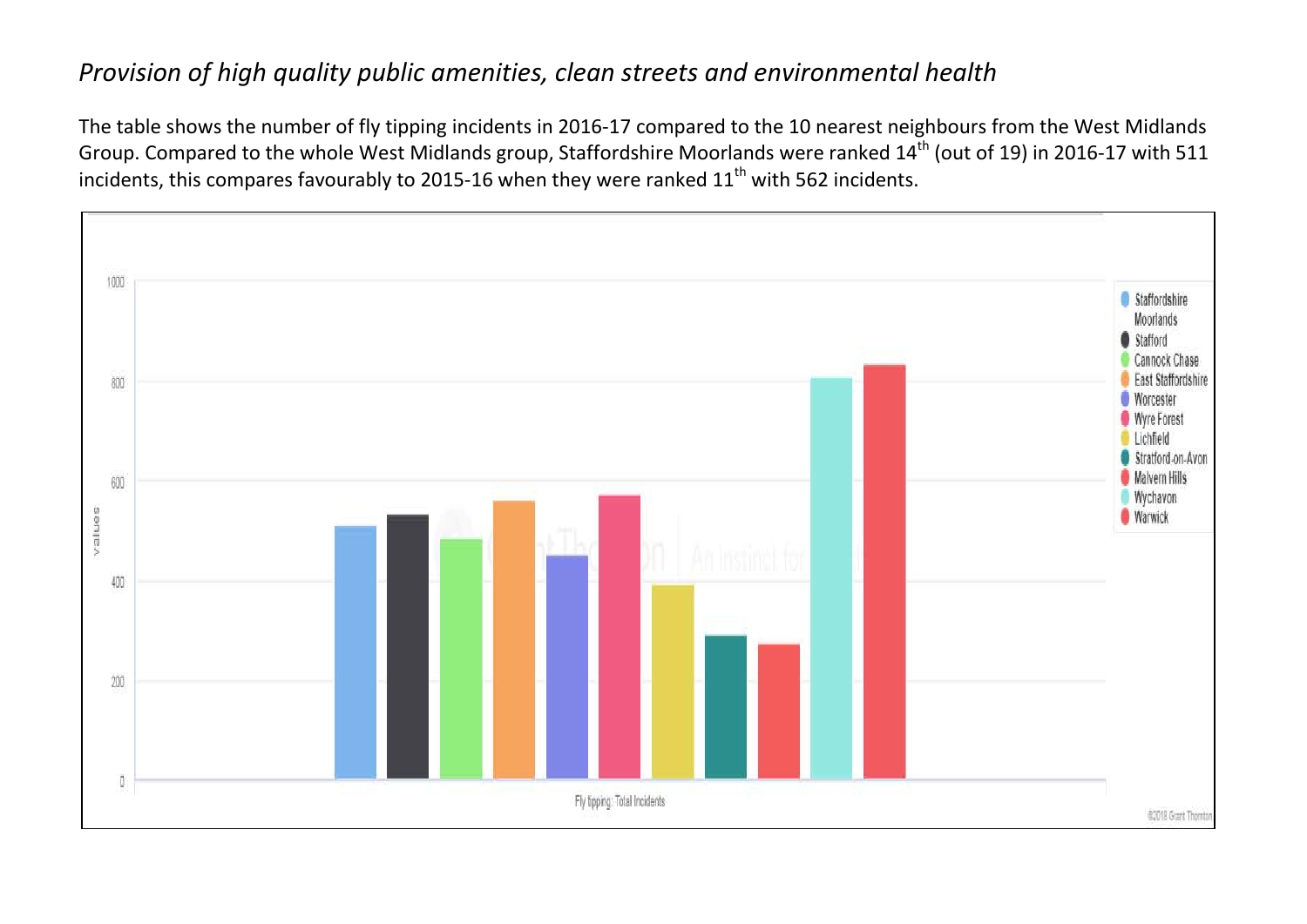## *Provision of high quality public amenities, clean streets and environmental health*

The table shows the number of fly tipping incidents in 2016-17 compared to the 10 nearest neighbours from the West Midlands Group. Compared to the whole West Midlands group, Staffordshire Moorlands were ranked 14<sup>th</sup> (out of 19) in 2016-17 with 511 incidents, this compares favourably to 2015-16 when they were ranked  $11<sup>th</sup>$  with 562 incidents.

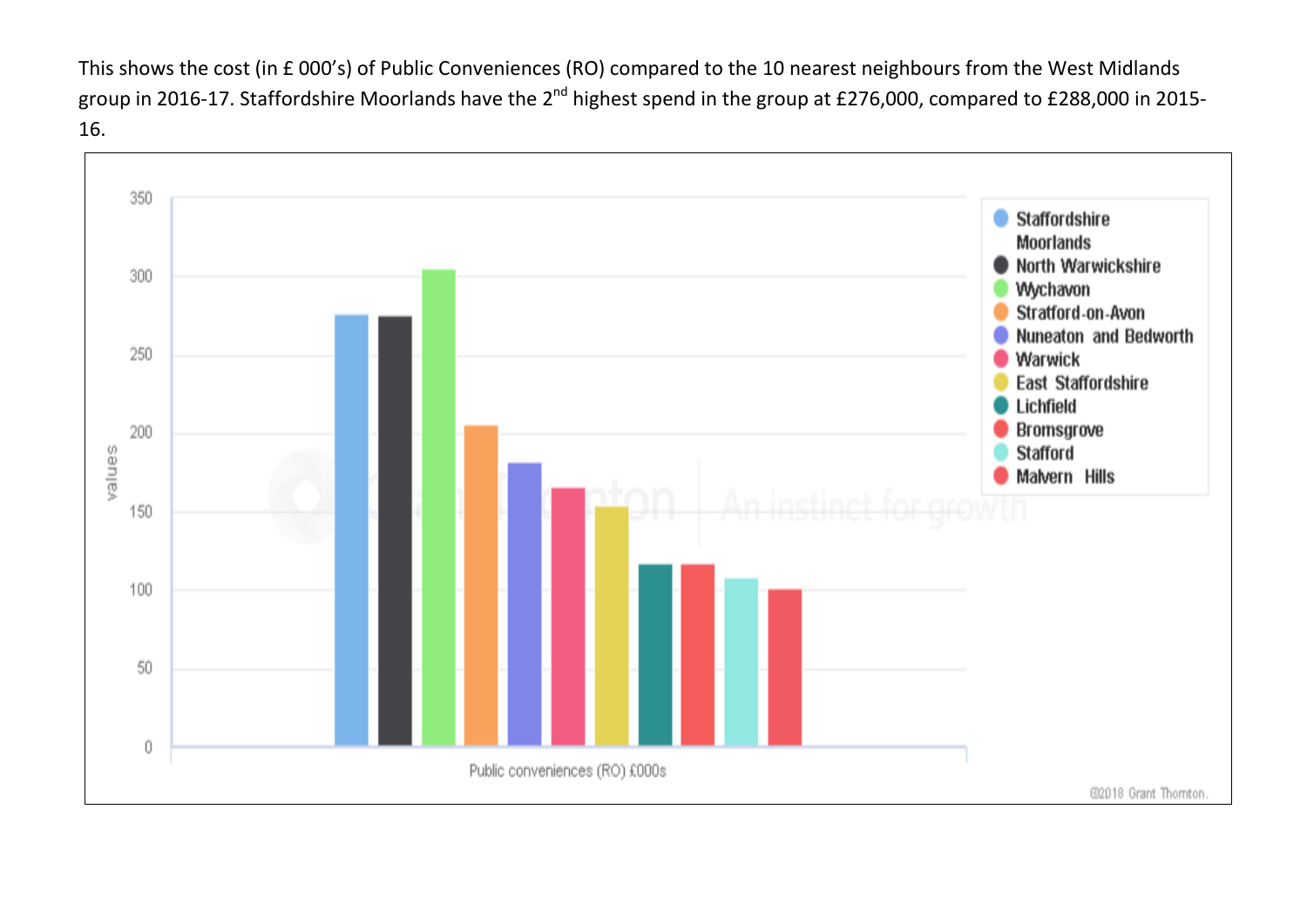This shows the cost (in £ 000's) of Public Conveniences (RO) compared to the 10 nearest neighbours from the West Midlands group in 2016-17. Staffordshire Moorlands have the 2<sup>nd</sup> highest spend in the group at £276,000, compared to £288,000 in 2015-16.